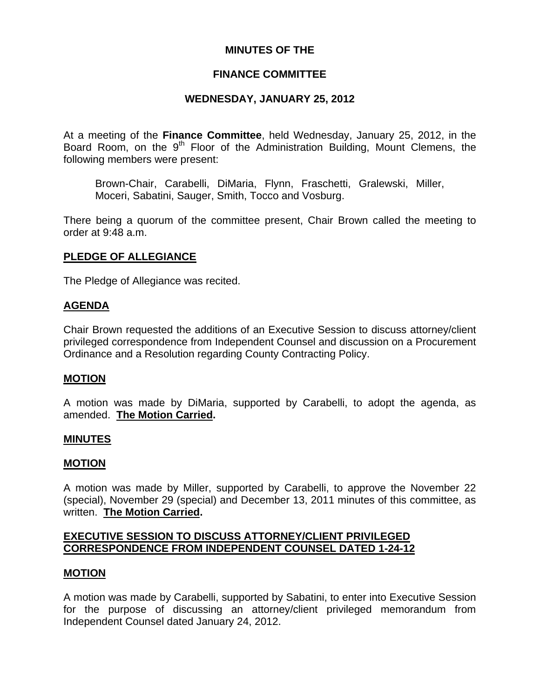# **MINUTES OF THE**

# **FINANCE COMMITTEE**

# **WEDNESDAY, JANUARY 25, 2012**

At a meeting of the **Finance Committee**, held Wednesday, January 25, 2012, in the Board Room, on the 9<sup>th</sup> Floor of the Administration Building, Mount Clemens, the following members were present:

Brown-Chair, Carabelli, DiMaria, Flynn, Fraschetti, Gralewski, Miller, Moceri, Sabatini, Sauger, Smith, Tocco and Vosburg.

There being a quorum of the committee present, Chair Brown called the meeting to order at 9:48 a.m.

# **PLEDGE OF ALLEGIANCE**

The Pledge of Allegiance was recited.

#### **AGENDA**

Chair Brown requested the additions of an Executive Session to discuss attorney/client privileged correspondence from Independent Counsel and discussion on a Procurement Ordinance and a Resolution regarding County Contracting Policy.

#### **MOTION**

A motion was made by DiMaria, supported by Carabelli, to adopt the agenda, as amended. **The Motion Carried.** 

#### **MINUTES**

#### **MOTION**

A motion was made by Miller, supported by Carabelli, to approve the November 22 (special), November 29 (special) and December 13, 2011 minutes of this committee, as written. **The Motion Carried.** 

# **EXECUTIVE SESSION TO DISCUSS ATTORNEY/CLIENT PRIVILEGED CORRESPONDENCE FROM INDEPENDENT COUNSEL DATED 1-24-12**

#### **MOTION**

A motion was made by Carabelli, supported by Sabatini, to enter into Executive Session for the purpose of discussing an attorney/client privileged memorandum from Independent Counsel dated January 24, 2012.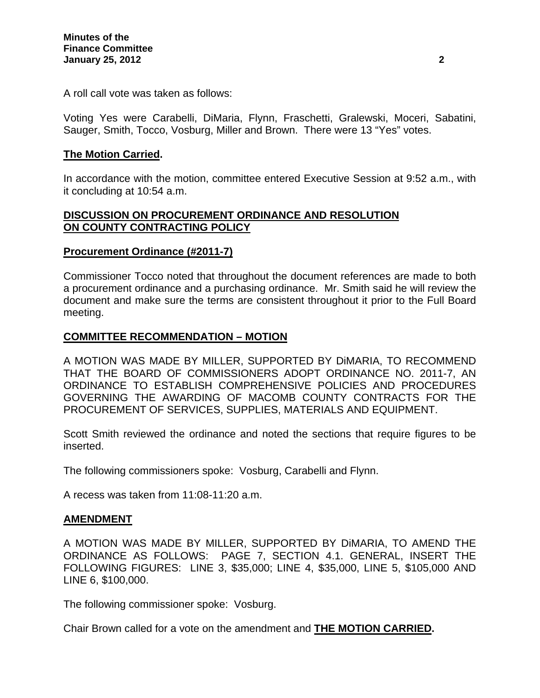A roll call vote was taken as follows:

Voting Yes were Carabelli, DiMaria, Flynn, Fraschetti, Gralewski, Moceri, Sabatini, Sauger, Smith, Tocco, Vosburg, Miller and Brown. There were 13 "Yes" votes.

# **The Motion Carried.**

In accordance with the motion, committee entered Executive Session at 9:52 a.m., with it concluding at 10:54 a.m.

# **DISCUSSION ON PROCUREMENT ORDINANCE AND RESOLUTION ON COUNTY CONTRACTING POLICY**

# **Procurement Ordinance (#2011-7)**

Commissioner Tocco noted that throughout the document references are made to both a procurement ordinance and a purchasing ordinance. Mr. Smith said he will review the document and make sure the terms are consistent throughout it prior to the Full Board meeting.

# **COMMITTEE RECOMMENDATION – MOTION**

A MOTION WAS MADE BY MILLER, SUPPORTED BY DiMARIA, TO RECOMMEND THAT THE BOARD OF COMMISSIONERS ADOPT ORDINANCE NO. 2011-7, AN ORDINANCE TO ESTABLISH COMPREHENSIVE POLICIES AND PROCEDURES GOVERNING THE AWARDING OF MACOMB COUNTY CONTRACTS FOR THE PROCUREMENT OF SERVICES, SUPPLIES, MATERIALS AND EQUIPMENT.

Scott Smith reviewed the ordinance and noted the sections that require figures to be inserted.

The following commissioners spoke: Vosburg, Carabelli and Flynn.

A recess was taken from 11:08-11:20 a.m.

#### **AMENDMENT**

A MOTION WAS MADE BY MILLER, SUPPORTED BY DiMARIA, TO AMEND THE ORDINANCE AS FOLLOWS: PAGE 7, SECTION 4.1. GENERAL, INSERT THE FOLLOWING FIGURES: LINE 3, \$35,000; LINE 4, \$35,000, LINE 5, \$105,000 AND LINE 6, \$100,000.

The following commissioner spoke: Vosburg.

Chair Brown called for a vote on the amendment and **THE MOTION CARRIED.**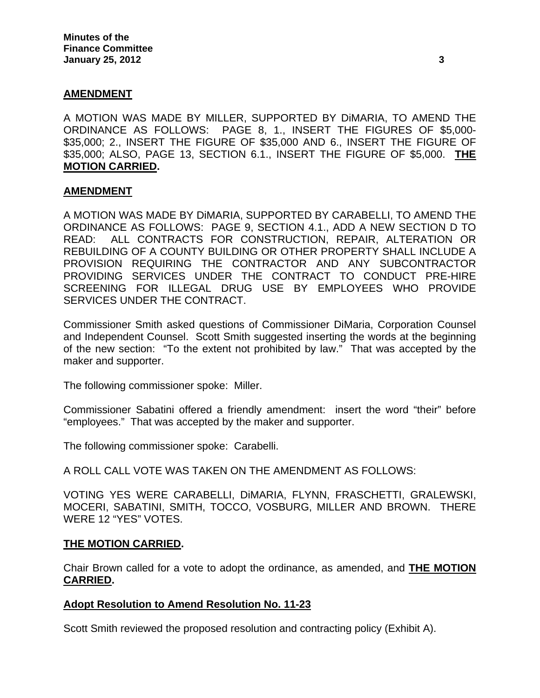#### **AMENDMENT**

A MOTION WAS MADE BY MILLER, SUPPORTED BY DiMARIA, TO AMEND THE ORDINANCE AS FOLLOWS: PAGE 8, 1., INSERT THE FIGURES OF \$5,000- \$35,000; 2., INSERT THE FIGURE OF \$35,000 AND 6., INSERT THE FIGURE OF \$35,000; ALSO, PAGE 13, SECTION 6.1., INSERT THE FIGURE OF \$5,000. **THE MOTION CARRIED.** 

#### **AMENDMENT**

A MOTION WAS MADE BY DiMARIA, SUPPORTED BY CARABELLI, TO AMEND THE ORDINANCE AS FOLLOWS: PAGE 9, SECTION 4.1., ADD A NEW SECTION D TO READ: ALL CONTRACTS FOR CONSTRUCTION, REPAIR, ALTERATION OR REBUILDING OF A COUNTY BUILDING OR OTHER PROPERTY SHALL INCLUDE A PROVISION REQUIRING THE CONTRACTOR AND ANY SUBCONTRACTOR PROVIDING SERVICES UNDER THE CONTRACT TO CONDUCT PRE-HIRE SCREENING FOR ILLEGAL DRUG USE BY EMPLOYEES WHO PROVIDE SERVICES UNDER THE CONTRACT.

Commissioner Smith asked questions of Commissioner DiMaria, Corporation Counsel and Independent Counsel. Scott Smith suggested inserting the words at the beginning of the new section: "To the extent not prohibited by law." That was accepted by the maker and supporter.

The following commissioner spoke: Miller.

Commissioner Sabatini offered a friendly amendment: insert the word "their" before "employees." That was accepted by the maker and supporter.

The following commissioner spoke: Carabelli.

A ROLL CALL VOTE WAS TAKEN ON THE AMENDMENT AS FOLLOWS:

VOTING YES WERE CARABELLI, DiMARIA, FLYNN, FRASCHETTI, GRALEWSKI, MOCERI, SABATINI, SMITH, TOCCO, VOSBURG, MILLER AND BROWN. THERE WERE 12 "YES" VOTES.

#### **THE MOTION CARRIED.**

Chair Brown called for a vote to adopt the ordinance, as amended, and **THE MOTION CARRIED.** 

#### **Adopt Resolution to Amend Resolution No. 11-23**

Scott Smith reviewed the proposed resolution and contracting policy (Exhibit A).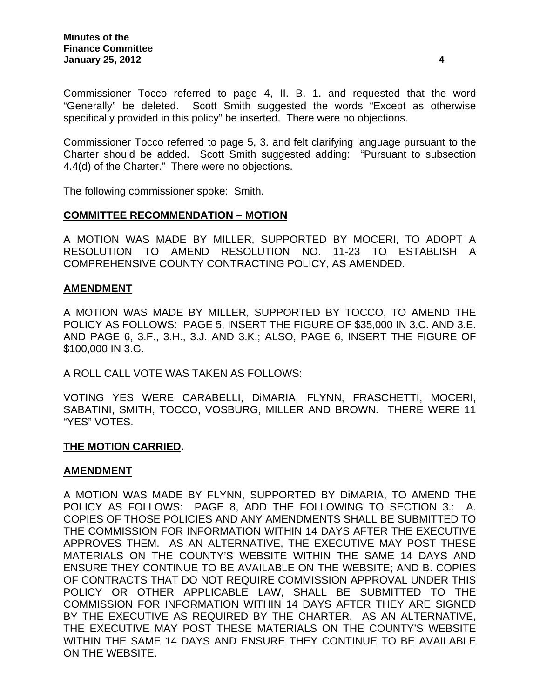Commissioner Tocco referred to page 4, II. B. 1. and requested that the word "Generally" be deleted. Scott Smith suggested the words "Except as otherwise specifically provided in this policy" be inserted. There were no objections.

Commissioner Tocco referred to page 5, 3. and felt clarifying language pursuant to the Charter should be added. Scott Smith suggested adding: "Pursuant to subsection 4.4(d) of the Charter." There were no objections.

The following commissioner spoke: Smith.

# **COMMITTEE RECOMMENDATION – MOTION**

A MOTION WAS MADE BY MILLER, SUPPORTED BY MOCERI, TO ADOPT A RESOLUTION TO AMEND RESOLUTION NO. 11-23 TO ESTABLISH A COMPREHENSIVE COUNTY CONTRACTING POLICY, AS AMENDED.

#### **AMENDMENT**

A MOTION WAS MADE BY MILLER, SUPPORTED BY TOCCO, TO AMEND THE POLICY AS FOLLOWS: PAGE 5, INSERT THE FIGURE OF \$35,000 IN 3.C. AND 3.E. AND PAGE 6, 3.F., 3.H., 3.J. AND 3.K.; ALSO, PAGE 6, INSERT THE FIGURE OF \$100,000 IN 3.G.

A ROLL CALL VOTE WAS TAKEN AS FOLLOWS:

VOTING YES WERE CARABELLI, DiMARIA, FLYNN, FRASCHETTI, MOCERI, SABATINI, SMITH, TOCCO, VOSBURG, MILLER AND BROWN. THERE WERE 11 "YES" VOTES.

#### **THE MOTION CARRIED.**

#### **AMENDMENT**

A MOTION WAS MADE BY FLYNN, SUPPORTED BY DiMARIA, TO AMEND THE POLICY AS FOLLOWS: PAGE 8, ADD THE FOLLOWING TO SECTION 3.: A. COPIES OF THOSE POLICIES AND ANY AMENDMENTS SHALL BE SUBMITTED TO THE COMMISSION FOR INFORMATION WITHIN 14 DAYS AFTER THE EXECUTIVE APPROVES THEM. AS AN ALTERNATIVE, THE EXECUTIVE MAY POST THESE MATERIALS ON THE COUNTY'S WEBSITE WITHIN THE SAME 14 DAYS AND ENSURE THEY CONTINUE TO BE AVAILABLE ON THE WEBSITE; AND B. COPIES OF CONTRACTS THAT DO NOT REQUIRE COMMISSION APPROVAL UNDER THIS POLICY OR OTHER APPLICABLE LAW, SHALL BE SUBMITTED TO THE COMMISSION FOR INFORMATION WITHIN 14 DAYS AFTER THEY ARE SIGNED BY THE EXECUTIVE AS REQUIRED BY THE CHARTER. AS AN ALTERNATIVE, THE EXECUTIVE MAY POST THESE MATERIALS ON THE COUNTY'S WEBSITE WITHIN THE SAME 14 DAYS AND ENSURE THEY CONTINUE TO BE AVAILABLE ON THE WEBSITE.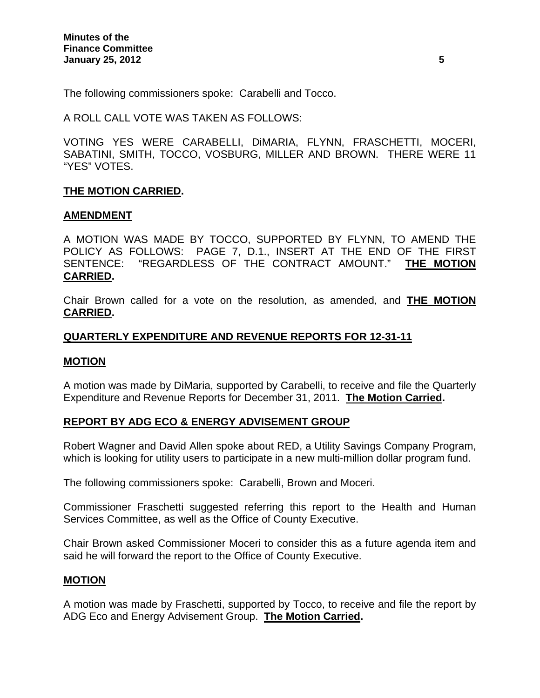The following commissioners spoke: Carabelli and Tocco.

A ROLL CALL VOTE WAS TAKEN AS FOLLOWS:

VOTING YES WERE CARABELLI, DiMARIA, FLYNN, FRASCHETTI, MOCERI, SABATINI, SMITH, TOCCO, VOSBURG, MILLER AND BROWN. THERE WERE 11 "YES" VOTES.

# **THE MOTION CARRIED.**

#### **AMENDMENT**

A MOTION WAS MADE BY TOCCO, SUPPORTED BY FLYNN, TO AMEND THE POLICY AS FOLLOWS: PAGE 7, D.1., INSERT AT THE END OF THE FIRST SENTENCE: "REGARDLESS OF THE CONTRACT AMOUNT." **THE MOTION CARRIED.** 

Chair Brown called for a vote on the resolution, as amended, and **THE MOTION CARRIED.**

# **QUARTERLY EXPENDITURE AND REVENUE REPORTS FOR 12-31-11**

#### **MOTION**

A motion was made by DiMaria, supported by Carabelli, to receive and file the Quarterly Expenditure and Revenue Reports for December 31, 2011. **The Motion Carried.** 

#### **REPORT BY ADG ECO & ENERGY ADVISEMENT GROUP**

Robert Wagner and David Allen spoke about RED, a Utility Savings Company Program, which is looking for utility users to participate in a new multi-million dollar program fund.

The following commissioners spoke: Carabelli, Brown and Moceri.

Commissioner Fraschetti suggested referring this report to the Health and Human Services Committee, as well as the Office of County Executive.

Chair Brown asked Commissioner Moceri to consider this as a future agenda item and said he will forward the report to the Office of County Executive.

#### **MOTION**

A motion was made by Fraschetti, supported by Tocco, to receive and file the report by ADG Eco and Energy Advisement Group. **The Motion Carried.**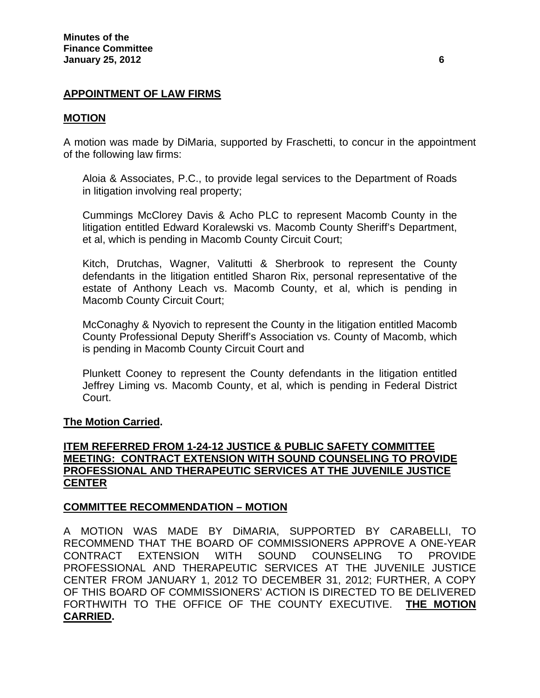# **APPOINTMENT OF LAW FIRMS**

#### **MOTION**

A motion was made by DiMaria, supported by Fraschetti, to concur in the appointment of the following law firms:

Aloia & Associates, P.C., to provide legal services to the Department of Roads in litigation involving real property;

Cummings McClorey Davis & Acho PLC to represent Macomb County in the litigation entitled Edward Koralewski vs. Macomb County Sheriff's Department, et al, which is pending in Macomb County Circuit Court;

Kitch, Drutchas, Wagner, Valitutti & Sherbrook to represent the County defendants in the litigation entitled Sharon Rix, personal representative of the estate of Anthony Leach vs. Macomb County, et al, which is pending in Macomb County Circuit Court;

McConaghy & Nyovich to represent the County in the litigation entitled Macomb County Professional Deputy Sheriff's Association vs. County of Macomb, which is pending in Macomb County Circuit Court and

Plunkett Cooney to represent the County defendants in the litigation entitled Jeffrey Liming vs. Macomb County, et al, which is pending in Federal District Court.

#### **The Motion Carried.**

# **ITEM REFERRED FROM 1-24-12 JUSTICE & PUBLIC SAFETY COMMITTEE MEETING: CONTRACT EXTENSION WITH SOUND COUNSELING TO PROVIDE PROFESSIONAL AND THERAPEUTIC SERVICES AT THE JUVENILE JUSTICE CENTER**

#### **COMMITTEE RECOMMENDATION – MOTION**

A MOTION WAS MADE BY DiMARIA, SUPPORTED BY CARABELLI, TO RECOMMEND THAT THE BOARD OF COMMISSIONERS APPROVE A ONE-YEAR CONTRACT EXTENSION WITH SOUND COUNSELING TO PROVIDE PROFESSIONAL AND THERAPEUTIC SERVICES AT THE JUVENILE JUSTICE CENTER FROM JANUARY 1, 2012 TO DECEMBER 31, 2012; FURTHER, A COPY OF THIS BOARD OF COMMISSIONERS' ACTION IS DIRECTED TO BE DELIVERED FORTHWITH TO THE OFFICE OF THE COUNTY EXECUTIVE. **THE MOTION CARRIED.**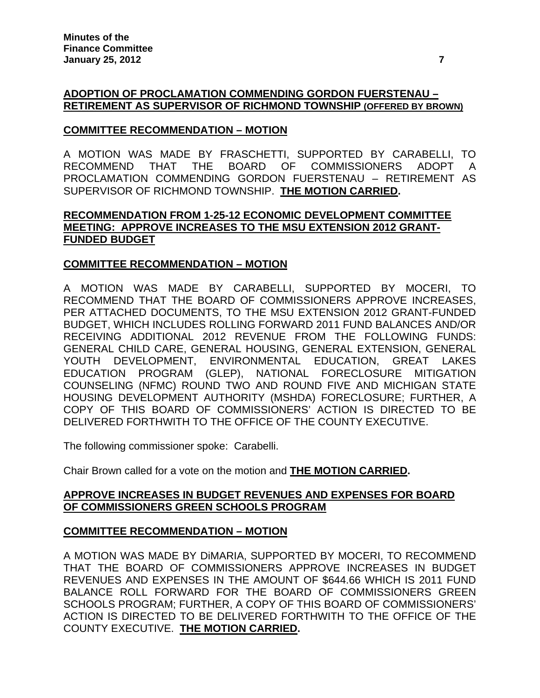# **ADOPTION OF PROCLAMATION COMMENDING GORDON FUERSTENAU – RETIREMENT AS SUPERVISOR OF RICHMOND TOWNSHIP (OFFERED BY BROWN)**

# **COMMITTEE RECOMMENDATION – MOTION**

A MOTION WAS MADE BY FRASCHETTI, SUPPORTED BY CARABELLI, TO RECOMMEND THAT THE BOARD OF COMMISSIONERS ADOPT A PROCLAMATION COMMENDING GORDON FUERSTENAU – RETIREMENT AS SUPERVISOR OF RICHMOND TOWNSHIP. **THE MOTION CARRIED.** 

# **RECOMMENDATION FROM 1-25-12 ECONOMIC DEVELOPMENT COMMITTEE MEETING: APPROVE INCREASES TO THE MSU EXTENSION 2012 GRANT-FUNDED BUDGET**

# **COMMITTEE RECOMMENDATION – MOTION**

A MOTION WAS MADE BY CARABELLI, SUPPORTED BY MOCERI, TO RECOMMEND THAT THE BOARD OF COMMISSIONERS APPROVE INCREASES, PER ATTACHED DOCUMENTS, TO THE MSU EXTENSION 2012 GRANT-FUNDED BUDGET, WHICH INCLUDES ROLLING FORWARD 2011 FUND BALANCES AND/OR RECEIVING ADDITIONAL 2012 REVENUE FROM THE FOLLOWING FUNDS: GENERAL CHILD CARE, GENERAL HOUSING, GENERAL EXTENSION, GENERAL YOUTH DEVELOPMENT, ENVIRONMENTAL EDUCATION, GREAT LAKES EDUCATION PROGRAM (GLEP), NATIONAL FORECLOSURE MITIGATION COUNSELING (NFMC) ROUND TWO AND ROUND FIVE AND MICHIGAN STATE HOUSING DEVELOPMENT AUTHORITY (MSHDA) FORECLOSURE; FURTHER, A COPY OF THIS BOARD OF COMMISSIONERS' ACTION IS DIRECTED TO BE DELIVERED FORTHWITH TO THE OFFICE OF THE COUNTY EXECUTIVE.

The following commissioner spoke: Carabelli.

Chair Brown called for a vote on the motion and **THE MOTION CARRIED.** 

# **APPROVE INCREASES IN BUDGET REVENUES AND EXPENSES FOR BOARD OF COMMISSIONERS GREEN SCHOOLS PROGRAM**

# **COMMITTEE RECOMMENDATION – MOTION**

A MOTION WAS MADE BY DiMARIA, SUPPORTED BY MOCERI, TO RECOMMEND THAT THE BOARD OF COMMISSIONERS APPROVE INCREASES IN BUDGET REVENUES AND EXPENSES IN THE AMOUNT OF \$644.66 WHICH IS 2011 FUND BALANCE ROLL FORWARD FOR THE BOARD OF COMMISSIONERS GREEN SCHOOLS PROGRAM; FURTHER, A COPY OF THIS BOARD OF COMMISSIONERS' ACTION IS DIRECTED TO BE DELIVERED FORTHWITH TO THE OFFICE OF THE COUNTY EXECUTIVE. **THE MOTION CARRIED.**